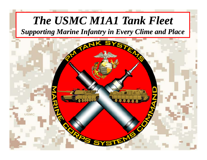# The USMC M1A1 Tank Fleet

**Supporting Marine Infantry in Every Clime and Place** 

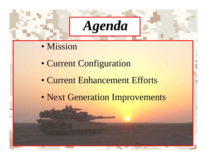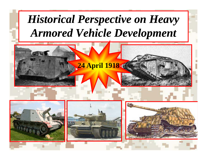# **Historical Perspective on Heavy Armored Vehicle Development**

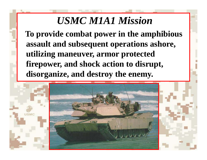### *USMC M1A1 Mission*

**To provide combat power in the amphibious assault and subsequent operations ashore, utilizin g maneuver, armor protected firepower, and shock action to disrupt,**  disorganize, and destroy the enemy.

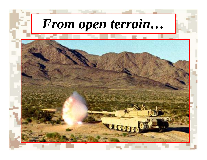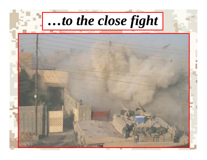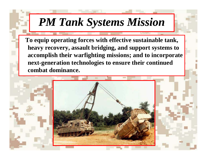# *PM Tank Systems Mission*

**To equip operating forces with effective sustainable tank, heavy recovery, ecove ry,assault bridging, ridging, and support systems to accomplish their warfighting missions; and to incorporate next-generation technologies to ensure their continued combat dominance.** 

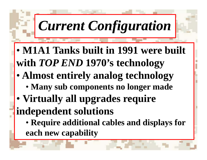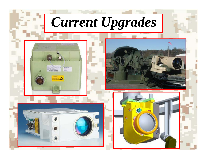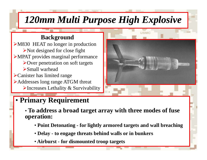### *120mm Multi Purpose High Explosive*

#### **Background**

M830 HEAT no longer in production  $\triangleright$  Not designed for close fight MPAT provides marginal performance Over penetration on soft targets Small warheadCanister has limited range Addresses long range ATGM threat  $\blacktriangleright$  Increases Lethality & Survivability



#### • **Primary Requirement**

- **To address <sup>a</sup> broad target array with three modes of fuse operation:** 
	- **Point Detonating - for lightly armored targets and wall breaching**
	- **Delay - to engage threats behind walls or in bunkers**
	- **Airburst - for dismounted troop targets**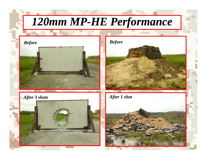# *120mm MP-HE Performance*







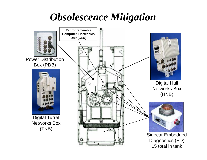## *Obsolescence Mitigation*



15 total in tank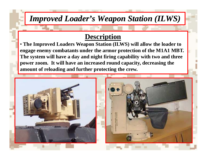#### *Improved Loader's Weapon Station (ILWS)*

#### **Description**

• **The Improved Loaders Weapon Station (ILWS) will allow the loader to**  engage enemy combatants under the armor protection of the M1A1 MBT.  $\,$ **The system will have a day and night firing capability with two and three power zoom. It will have an increased round capacity, decreasing the amount of reloading and further protecting the crew crew.** 

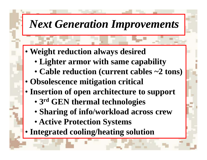## *Next Generation Improvements*

- **W i ht d ti l d i d Weight re duction a lwa ys des ire**
	- **Lighter armor with same capability**
	- Cable reduction (current cables ~2 tons)
- **Obsolescence mitigation critical**
- **I ti f hit t t t Insertion o f open architec ture to suppor**
	- **3rd GEN thermal technologies**
	- **Sh i f i f / kl d Shar n g o n fo /workloa d across crew**
	- **Active Protection Systems**
- Integrated cooling/heating solution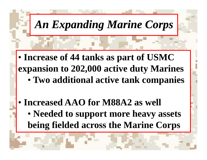An Expanding Marine Corps

• **Increase of 44 tanks as part of USMC expansion to 202 000 active duty Marines 202,000 duty** •**Two additional active tank companies**

• **Increased AAO for M88A2 as well** • **Needed to support more heavy assets being fielded across the Marine Corps**